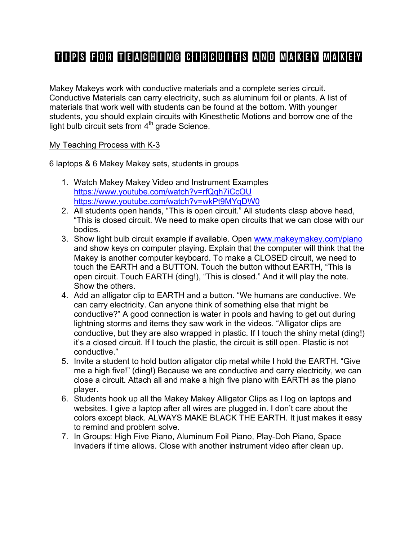# Tips for Teaching Circuits and Makey Makey

Makey Makeys work with conductive materials and a complete series circuit. Conductive Materials can carry electricity, such as aluminum foil or plants. A list of materials that work well with students can be found at the bottom. With younger students, you should explain circuits with Kinesthetic Motions and borrow one of the light bulb circuit sets from  $4<sup>th</sup>$  grade Science.

#### My Teaching Process with K-3

6 laptops & 6 Makey Makey sets, students in groups

- 1. Watch Makey Makey Video and Instrument Examples https://www.youtube.com/watch?v=rfQqh7iCcOU https://www.youtube.com/watch?v=wkPt9MYqDW0
- 2. All students open hands, "This is open circuit." All students clasp above head, "This is closed circuit. We need to make open circuits that we can close with our bodies.
- 3. Show light bulb circuit example if available. Open www.makeymakey.com/piano and show keys on computer playing. Explain that the computer will think that the Makey is another computer keyboard. To make a CLOSED circuit, we need to touch the EARTH and a BUTTON. Touch the button without EARTH, "This is open circuit. Touch EARTH (ding!), "This is closed." And it will play the note. Show the others.
- 4. Add an alligator clip to EARTH and a button. "We humans are conductive. We can carry electricity. Can anyone think of something else that might be conductive?" A good connection is water in pools and having to get out during lightning storms and items they saw work in the videos. "Alligator clips are conductive, but they are also wrapped in plastic. If I touch the shiny metal (ding!) it's a closed circuit. If I touch the plastic, the circuit is still open. Plastic is not conductive."
- 5. Invite a student to hold button alligator clip metal while I hold the EARTH. "Give me a high five!" (ding!) Because we are conductive and carry electricity, we can close a circuit. Attach all and make a high five piano with EARTH as the piano player.
- 6. Students hook up all the Makey Makey Alligator Clips as I log on laptops and websites. I give a laptop after all wires are plugged in. I don't care about the colors except black. ALWAYS MAKE BLACK THE EARTH. It just makes it easy to remind and problem solve.
- 7. In Groups: High Five Piano, Aluminum Foil Piano, Play-Doh Piano, Space Invaders if time allows. Close with another instrument video after clean up.